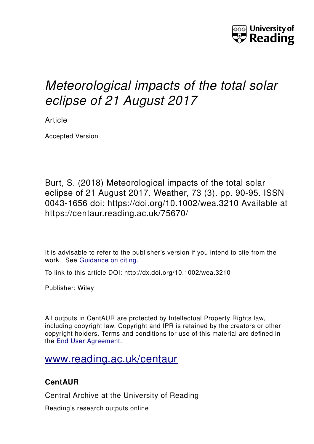

## *Meteorological impacts of the total solar eclipse of 21 August 2017*

Article

Accepted Version

Burt, S. (2018) Meteorological impacts of the total solar eclipse of 21 August 2017. Weather, 73 (3). pp. 90-95. ISSN 0043-1656 doi: https://doi.org/10.1002/wea.3210 Available at https://centaur.reading.ac.uk/75670/

It is advisable to refer to the publisher's version if you intend to cite from the work. See [Guidance on citing.](http://centaur.reading.ac.uk/71187/10/CentAUR%20citing%20guide.pdf)

To link to this article DOI: http://dx.doi.org/10.1002/wea.3210

Publisher: Wiley

All outputs in CentAUR are protected by Intellectual Property Rights law, including copyright law. Copyright and IPR is retained by the creators or other copyright holders. Terms and conditions for use of this material are defined in the [End User Agreement.](http://centaur.reading.ac.uk/licence)

## [www.reading.ac.uk/centaur](http://www.reading.ac.uk/centaur)

## **CentAUR**

Central Archive at the University of Reading

Reading's research outputs online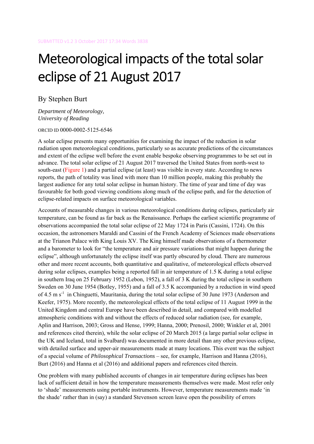# Meteorological impacts of the total solar eclipse of 21 August 2017

By Stephen Burt

*Department of Meteorology, University of Reading* 

ORCID ID 0000-0002-5125-6546

A solar eclipse presents many opportunities for examining the impact of the reduction in solar radiation upon meteorological conditions, particularly so as accurate predictions of the circumstances and extent of the eclipse well before the event enable bespoke observing programmes to be set out in advance. The total solar eclipse of 21 August 2017 traversed the United States from north-west to south-east (Figure 1) and a partial eclipse (at least) was visible in every state. According to news reports, the path of totality was lined with more than 10 million people, making this probably the largest audience for any total solar eclipse in human history. The time of year and time of day was favourable for both good viewing conditions along much of the eclipse path, and for the detection of eclipse-related impacts on surface meteorological variables.

Accounts of measurable changes in various meteorological conditions during eclipses, particularly air temperature, can be found as far back as the Renaissance. Perhaps the earliest scientific programme of observations accompanied the total solar eclipse of 22 May 1724 in Paris (Cassini, 1724). On this occasion, the astronomers Maraldi and Cassini of the French Academy of Sciences made observations at the Trianon Palace with King Louis XV. The King himself made observations of a thermometer and a barometer to look for "the temperature and air pressure variations that might happen during the eclipse", although unfortunately the eclipse itself was partly obscured by cloud. There are numerous other and more recent accounts, both quantitative and qualitative, of meteorological effects observed during solar eclipses, examples being a reported fall in air temperature of 1.5 K during a total eclipse in southern Iraq on 25 February 1952 (Lebon, 1952), a fall of 3 K during the total eclipse in southern Sweden on 30 June 1954 (Botley, 1955) and a fall of 3.5 K accompanied by a reduction in wind speed of 4.5 m s<sup>-1</sup> in Chinguetti, Mauritania, during the total solar eclipse of 30 June 1973 (Anderson and Keefer, 1975). More recently, the meteorological effects of the total eclipse of 11 August 1999 in the United Kingdom and central Europe have been described in detail, and compared with modelled atmospheric conditions with and without the effects of reduced solar radiation (see, for example, Aplin and Harrison, 2003; Gross and Hense, 1999; Hanna, 2000; Prenosil, 2000; Winkler et al, 2001 and references cited therein), while the solar eclipse of 20 March 2015 (a large partial solar eclipse in the UK and Iceland, total in Svalbard) was documented in more detail than any other previous eclipse, with detailed surface and upper-air measurements made at many locations. This event was the subject of a special volume of *Philosophical Transactions* – see, for example, Harrison and Hanna (2016), Burt (2016) and Hanna et al (2016) and additional papers and references cited therein.

One problem with many published accounts of changes in air temperature during eclipses has been lack of sufficient detail in how the temperature measurements themselves were made. Most refer only to 'shade' measurements using portable instruments. However, temperature measurements made 'in the shade' rather than in (say) a standard Stevenson screen leave open the possibility of errors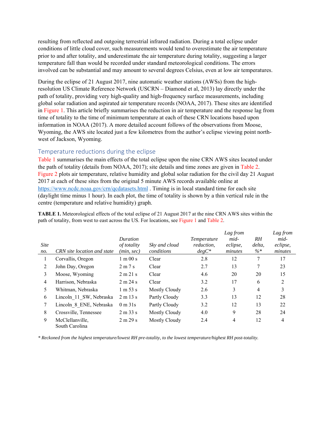resulting from reflected and outgoing terrestrial infrared radiation. During a total eclipse under conditions of little cloud cover, such measurements would tend to overestimate the air temperature prior to and after totality, and underestimate the air temperature during totality, suggesting a larger temperature fall than would be recorded under standard meteorological conditions. The errors involved can be substantial and may amount to several degrees Celsius, even at low air temperatures.

During the eclipse of 21 August 2017, nine automatic weather stations (AWSs) from the highresolution US Climate Reference Network (USCRN – Diamond et al, 2013) lay directly under the path of totality, providing very high-quality and high-frequency surface measurements, including global solar radiation and aspirated air temperature records (NOAA, 2017). These sites are identified in Figure 1. This article briefly summarises the reduction in air temperature and the response lag from time of totality to the time of minimum temperature at each of these CRN locations based upon information in NOAA (2017). A more detailed account follows of the observations from Moose, Wyoming, the AWS site located just a few kilometres from the author's eclipse viewing point northwest of Jackson, Wyoming.

#### Temperature reductions during the eclipse

Table 1 summarises the main effects of the total eclipse upon the nine CRN AWS sites located under the path of totality (details from NOAA, 2017); site details and time zones are given in Table 2. Figure 2 plots air temperature, relative humidity and global solar radiation for the civil day 21 August 2017 at each of these sites from the original 5 minute AWS records available online at https://www.ncdc.noaa.gov/crn/qcdatasets.html . Timing is in local standard time for each site (daylight time minus 1 hour). In each plot, the time of totality is shown by a thin vertical rule in the centre (temperature and relative humidity) graph.

**TABLE 1.** Meteorological effects of the total eclipse of 21 August 2017 at the nine CRN AWS sites within the path of totality, from west to east across the US. For locations, see Figure 1 and Table 2.

| <b>Site</b><br>no. | CRN site location and state       | Duration<br>of totality<br>(min, sec) | Sky and cloud<br>conditions | <i>Temperature</i><br>reduction,<br>$degC^*$ | Lag from<br>mid-<br>eclipse,<br>minutes | RH<br>delta,<br>$\% *$ | Lag from<br>mid-<br>eclipse,<br>minutes |
|--------------------|-----------------------------------|---------------------------------------|-----------------------------|----------------------------------------------|-----------------------------------------|------------------------|-----------------------------------------|
|                    | Corvallis, Oregon                 | $1 \text{ m} 00 \text{ s}$            | Clear                       | 2.8                                          | 12                                      | 7                      | 17                                      |
| $\overline{2}$     | John Day, Oregon                  | 2m7s                                  | Clear                       | 2.7                                          | 13                                      | 7                      | 23                                      |
| 3                  | Moose, Wyoming                    | 2 m 21 s                              | Clear                       | 4.6                                          | 20                                      | 20                     | 15                                      |
| $\overline{4}$     | Harrison, Nebraska                | 2 m 24 s                              | Clear                       | 3.2                                          | 17                                      | 6                      | 2                                       |
| 5                  | Whitman, Nebraska                 | $1 \text{ m } 53 \text{ s}$           | Mostly Cloudy               | 2.6                                          | 3                                       | $\overline{4}$         | 3                                       |
| 6                  | Lincoln 11 SW, Nebraska           | 2 m 13 s                              | Partly Cloudy               | 3.3                                          | 13                                      | 12                     | 28                                      |
| 7                  | Lincoln 8 ENE, Nebraska           | $0 \text{ m } 31 \text{s}$            | Partly Cloudy               | 3.2                                          | 12                                      | 13                     | 22                                      |
| 8                  | Crossville, Tennessee             | 2 m 33 s                              | Mostly Cloudy               | 4.0                                          | 9                                       | 28                     | 24                                      |
| 9                  | McClellanville,<br>South Carolina | 2 m 29 s                              | Mostly Cloudy               | 2.4                                          | $\overline{4}$                          | 12                     | $\overline{4}$                          |

*\* Reckoned from the highest temperature/lowest RH pre-totality, to the lowest temperature/highest RH post-totality.*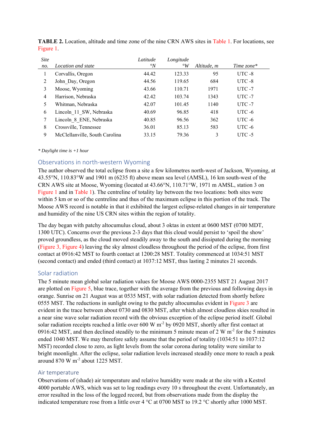| <b>Site</b>    |                                | Latitude       | Longitude |             |               |
|----------------|--------------------------------|----------------|-----------|-------------|---------------|
| no.            | Location and state             | $\mathcal{O}N$ | $\circ_W$ | Altitude, m | Time zone $*$ |
|                | Corvallis, Oregon              | 44.42          | 123.33    | 95          | UTC-8         |
| 2              | John Day, Oregon               | 44.56          | 119.65    | 684         | $UTC - 8$     |
| 3              | Moose, Wyoming                 | 43.66          | 110.71    | 1971        | $UTC - 7$     |
| $\overline{4}$ | Harrison, Nebraska             | 42.42          | 103.74    | 1343        | $UTC - 7$     |
| 5              | Whitman, Nebraska              | 42.07          | 101.45    | 1140        | $UTC - 7$     |
| 6              | Lincoln 11 SW, Nebraska        | 40.69          | 96.85     | 418         | $UTC - 6$     |
|                | Lincoln 8 ENE, Nebraska        | 40.85          | 96.56     | 362         | $UTC - 6$     |
| 8              | Crossville, Tennessee          | 36.01          | 85.13     | 583         | $UTC - 6$     |
| 9              | McClellanville, South Carolina | 33.15          | 79.36     | 3           | $UTC - 5$     |

**TABLE 2.** Location, altitude and time zone of the nine CRN AWS sites in Table 1. For locations, see Figure 1.

#### *\* Daylight time is +1 hour*

#### Observations in north‐western Wyoming

The author observed the total eclipse from a site a few kilometres north-west of Jackson, Wyoming, at 43.55°N, 110.83°W and 1901 m (6235 ft) above mean sea level (AMSL), 16 km south-west of the CRN AWS site at Moose, Wyoming (located at 43.66°N, 110.71°W, 1971 m AMSL, station 3 on Figure 1 and in Table 1). The centreline of totality lay between the two locations: both sites were within 5 km or so of the centreline and thus of the maximum eclipse in this portion of the track. The Moose AWS record is notable in that it exhibited the largest eclipse-related changes in air temperature and humidity of the nine US CRN sites within the region of totality.

The day began with patchy altocumulus cloud, about 3 oktas in extent at 0600 MST (0700 MDT, 1300 UTC). Concerns over the previous 2-3 days that this cloud would persist to 'spoil the show' proved groundless, as the cloud moved steadily away to the south and dissipated during the morning (Figure 3, Figure 4) leaving the sky almost cloudless throughout the period of the eclipse, from first contact at 0916:42 MST to fourth contact at 1200:28 MST. Totality commenced at 1034:51 MST (second contact) and ended (third contact) at 1037:12 MST, thus lasting 2 minutes 21 seconds.

#### Solar radiation

The 5 minute mean global solar radiation values for Moose AWS 0000-2355 MST 21 August 2017 are plotted on Figure 5, blue trace, together with the average from the previous and following days in orange. Sunrise on 21 August was at 0535 MST, with solar radiation detected from shortly before 0555 MST. The reductions in sunlight owing to the patchy altocumulus evident in Figure 3 are evident in the trace between about 0730 and 0830 MST, after which almost cloudless skies resulted in a near sine wave solar radiation record with the obvious exception of the eclipse period itself. Global solar radiation receipts reached a little over  $600 \text{ W m}^2$  by 0920 MST, shortly after first contact at 0916:42 MST, and then declined steadily to the minimum 5 minute mean of 2 W m<sup>-2</sup> for the 5 minutes ended 1040 MST. We may therefore safely assume that the period of totality (1034:51 to 1037:12 MST) recorded close to zero, as light levels from the solar corona during totality were similar to bright moonlight. After the eclipse, solar radiation levels increased steadily once more to reach a peak around 870 W m-2 about 1225 MST.

#### Air temperature

Observations of (shade) air temperature and relative humidity were made at the site with a Kestrel 4000 portable AWS, which was set to log readings every 10 s throughout the event. Unfortunately, an error resulted in the loss of the logged record, but from observations made from the display the indicated temperature rose from a little over 4 °C at 0700 MST to 19.2 °C shortly after 1000 MST.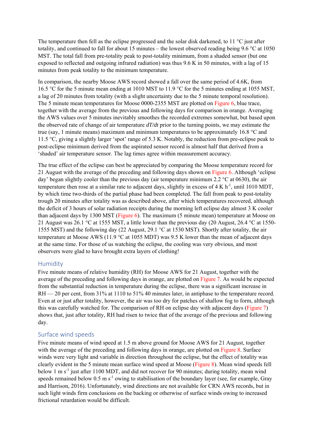The temperature then fell as the eclipse progressed and the solar disk darkened, to 11 °C just after totality, and continued to fall for about 15 minutes – the lowest observed reading being 9.6 °C at 1050 MST. The total fall from pre-totality peak to post-totality minimum, from a shaded sensor (but one exposed to reflected and outgoing infrared radiation) was thus 9.6 K in 50 minutes, with a lag of 15 minutes from peak totality to the minimum temperature.

In comparison, the nearby Moose AWS record showed a fall over the same period of 4.6K, from 16.5 °C for the 5 minute mean ending at 1010 MST to 11.9 °C for the 5 minutes ending at 1055 MST, a lag of 20 minutes from totality (with a slight uncertainty due to the 5 minute temporal resolution). The 5 minute mean temperatures for Moose 0000-2355 MST are plotted on Figure 6, blue trace, together with the average from the previous and following days for comparison in orange. Averaging the AWS values over 5 minutes inevitably smoothes the recorded extremes somewhat, but based upon the observed rate of change of air temperature *dT/dt* prior to the turning points, we may estimate the true (say, 1 minute means) maximum and minimum temperatures to be approximately 16.8 °C and 11.5 °C, giving a slightly larger 'spot' range of 5.3 K. Notably, the reduction from pre-eclipse peak to post-eclipse minimum derived from the aspirated sensor record is almost half that derived from a 'shaded' air temperature sensor. The lag times agree within measurement accuracy.

The true effect of the eclipse can best be appreciated by comparing the Moose temperature record for 21 August with the average of the preceding and following days shown on Figure 6. Although 'eclipse day' began slightly cooler than the previous day (air temperature minimum 2.2 °C at 0630), the air temperature then rose at a similar rate to adjacent days, slightly in excess of  $4 \text{ K h}^{-1}$ , until 1010 MDT, by which time two-thirds of the partial phase had been completed. The fall from peak to post-totality trough 20 minutes after totality was as described above, after which temperatures recovered, although the deficit of 3 hours of solar radiation receipts during the morning left eclipse day almost 3 K cooler than adjacent days by 1300 MST (Figure 6). The maximum (5 minute mean) temperature at Moose on 21 August was 26.1 °C at 1555 MST, a little lower than the previous day (20 August, 26.4 °C at 1550- 1555 MST) and the following day (22 August, 29.1 °C at 1530 MST). Shortly after totality, the air temperature at Moose AWS (11.9 °C at 1055 MDT) was 9.5 K lower than the mean of adjacent days at the same time. For those of us watching the eclipse, the cooling was very obvious, and most observers were glad to have brought extra layers of clothing!

#### Humidity

Five minute means of relative humidity (RH) for Moose AWS for 21 August, together with the average of the preceding and following days in orange, are plotted on Figure 7. As would be expected from the substantial reduction in temperature during the eclipse, there was a significant increase in RH — 20 per cent, from 31% at 1110 to 51% 40 minutes later, in antiphase to the temperature record. Even at or just after totality, however, the air was too dry for patches of shallow fog to form, although this was carefully watched for. The comparison of RH on eclipse day with adjacent days (Figure 7) shows that, just after totality, RH had risen to twice that of the average of the previous and following day.

#### Surface wind speeds

Five minute means of wind speed at 1.5 m above ground for Moose AWS for 21 August, together with the average of the preceding and following days in orange, are plotted on Figure 8. Surface winds were very light and variable in direction throughout the eclipse, but the effect of totality was clearly evident in the 5 minute mean surface wind speed at Moose (Figure 8). Mean wind speeds fell below 1 m  $s<sup>-1</sup>$  just after 1100 MDT, and did not recover for 90 minutes; during totality, mean wind speeds remained below  $0.5 \text{ m s}^{-1}$  owing to stabilisation of the boundary layer (see, for example, Gray and Harrison, 2016). Unfortunately, wind directions are not available for CRN AWS records, but in such light winds firm conclusions on the backing or otherwise of surface winds owing to increased frictional retardation would be difficult.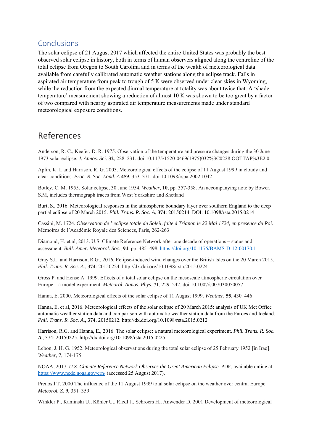### Conclusions

The solar eclipse of 21 August 2017 which affected the entire United States was probably the best observed solar eclipse in history, both in terms of human observers aligned along the centreline of the total eclipse from Oregon to South Carolina and in terms of the wealth of meteorological data available from carefully calibrated automatic weather stations along the eclipse track. Falls in aspirated air temperature from peak to trough of 5 K were observed under clear skies in Wyoming, while the reduction from the expected diurnal temperature at totality was about twice that. A 'shade temperature' measurement showing a reduction of almost 10 K was shown to be too great by a factor of two compared with nearby aspirated air temperature measurements made under standard meteorological exposure conditions.

## References

Anderson, R. C., Keefer, D. R. 1975. Observation of the temperature and pressure changes during the 30 June 1973 solar eclipse. *J. Atmos. Sci.* **32**, 228–231. doi:10.1175/1520-0469(1975)032%3C0228:OOTTAP%3E2.0.

Aplin, K. L and Harrison, R. G. 2003. Meteorological effects of the eclipse of 11 August 1999 in cloudy and clear conditions. *Proc. R. Soc. Lond. A* **459**, 353–371. doi:10.1098/rspa.2002.1042

Botley, C. M. 1955. Solar eclipse, 30 June 1954. *Weather*, **10**, pp. 357-358. An accompanying note by Bower, S.M, includes thermograph traces from West Yorkshire and Shetland

Burt, S., 2016. Meteorological responses in the atmospheric boundary layer over southern England to the deep partial eclipse of 20 March 2015. *Phil. Trans. R. Soc. A*, **374**: 20150214. DOI: 10.1098/rsta.2015.0214

Cassini, M. 1724. *Observation de l'eclipse totale du Soleil, faite à Trianon le 22 Mai 1724, en presence du Roi*. Mémoires de l'Académie Royale des Sciences, Paris, 262-263

Diamond, H. et al, 2013. U.S. Climate Reference Network after one decade of operations – status and assessment. *Bull. Amer. Meteorol. Soc*., **94**, pp. 485–498, https://doi.org/10.1175/BAMS-D-12-00170.1

Gray S.L. and Harrison, R.G., 2016. Eclipse-induced wind changes over the British Isles on the 20 March 2015. *Phil. Trans. R. Soc. A*., **374**: 20150224. http://dx.doi.org/10.1098/rsta.2015.0224

Gross P. and Hense A. 1999. Effects of a total solar eclipse on the mesoscale atmospheric circulation over Europe – a model experiment. *Meteorol. Atmos. Phys*. **71**, 229–242. doi:10.1007/s007030050057

Hanna, E. 2000. Meteorological effects of the solar eclipse of 11 August 1999. *Weather*, **55**, 430–446

Hanna, E. et al, 2016. Meteorological effects of the solar eclipse of 20 March 2015: analysis of UK Met Office automatic weather station data and comparison with automatic weather station data from the Faroes and Iceland. *Phil. Trans. R. Soc. A*., **374**, 20150212. http://dx.doi.org/10.1098/rsta.2015.0212

Harrison, R.G. and Hanna, E., 2016. The solar eclipse: a natural meteorological experiment. *Phil. Trans. R. Soc. A.,* 374: 20150225. http://dx.doi.org/10.1098/rsta.2015.0225

Lebon, J. H. G. 1952. Meteorological observations during the total solar eclipse of 25 February 1952 [in Iraq]. *Weather*, **7**, 174-175

NOAA, 2017. *U.S. Climate Reference Network Observes the Great American Eclipse.* PDF, available online at https://www.ncdc.noaa.gov/crn/ (accessed 25 August 2017).

Prenosil T. 2000 The influence of the 11 August 1999 total solar eclipse on the weather over central Europe. *Meteorol. Z.* **9**, 351–359

Winkler P., Kaminski U., Köhler U., Riedl J., Schroers H., Anwender D. 2001 Development of meteorological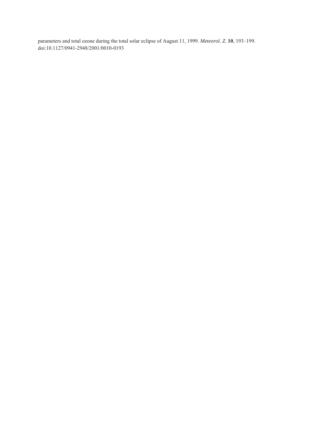parameters and total ozone during the total solar eclipse of August 11, 1999. *Meteorol. Z*. **10**, 193–199. doi:10.1127/0941-2948/2001/0010-0193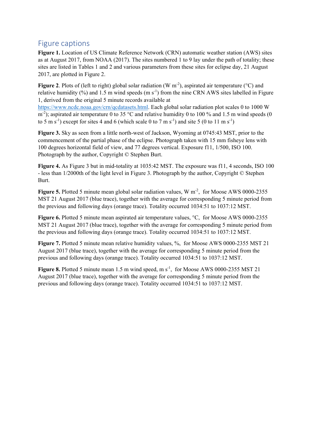## Figure captions

**Figure 1.** Location of US Climate Reference Network (CRN) automatic weather station (AWS) sites as at August 2017, from NOAA (2017). The sites numbered 1 to 9 lay under the path of totality; these sites are listed in Tables 1 and 2 and various parameters from these sites for eclipse day, 21 August 2017, are plotted in Figure 2.

**Figure 2.** Plots of (left to right) global solar radiation (W m<sup>-2</sup>), aspirated air temperature (°C) and relative humidity  $(\%)$  and 1.5 m wind speeds  $(m s<sup>-1</sup>)$  from the nine CRN AWS sites labelled in Figure 1, derived from the original 5 minute records available at

https://www.ncdc.noaa.gov/crn/qcdatasets.html. Each global solar radiation plot scales 0 to 1000 W m<sup>-2</sup>); aspirated air temperature 0 to 35 °C and relative humidity 0 to 100 % and 1.5 m wind speeds (0 to 5 m s<sup>-1</sup>) except for sites 4 and 6 (which scale 0 to 7 m s<sup>-1</sup>) and site 5 (0 to 11 m s<sup>-1</sup>)

**Figure 3.** Sky as seen from a little north-west of Jackson, Wyoming at 0745:43 MST, prior to the commencement of the partial phase of the eclipse. Photograph taken with 15 mm fisheye lens with 100 degrees horizontal field of view, and 77 degrees vertical. Exposure f11, 1/500, ISO 100. Photograph by the author, Copyright © Stephen Burt.

**Figure 4.** As Figure 3 but in mid-totality at 1035:42 MST. The exposure was f11, 4 seconds, ISO 100 - less than 1/2000th of the light level in Figure 3. Photograph by the author, Copyright © Stephen Burt.

**Figure 5.** Plotted 5 minute mean global solar radiation values, W m<sup>-2</sup>, for Moose AWS 0000-2355 MST 21 August 2017 (blue trace), together with the average for corresponding 5 minute period from the previous and following days (orange trace). Totality occurred 1034:51 to 1037:12 MST.

**Figure 6.** Plotted 5 minute mean aspirated air temperature values, °C, for Moose AWS 0000-2355 MST 21 August 2017 (blue trace), together with the average for corresponding 5 minute period from the previous and following days (orange trace). Totality occurred 1034:51 to 1037:12 MST.

Figure 7. Plotted 5 minute mean relative humidity values, %, for Moose AWS 0000-2355 MST 21 August 2017 (blue trace), together with the average for corresponding 5 minute period from the previous and following days (orange trace). Totality occurred 1034:51 to 1037:12 MST.

**Figure 8.** Plotted 5 minute mean 1.5 m wind speed, m  $s^{-1}$ , for Moose AWS 0000-2355 MST 21 August 2017 (blue trace), together with the average for corresponding 5 minute period from the previous and following days (orange trace). Totality occurred 1034:51 to 1037:12 MST.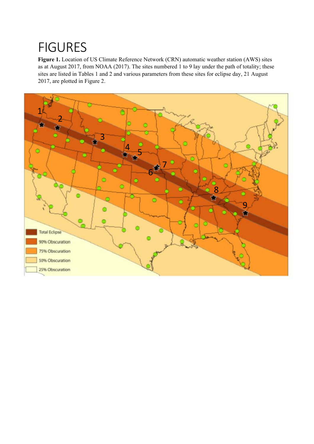# **FIGURES**

**Figure 1.** Location of US Climate Reference Network (CRN) automatic weather station (AWS) sites as at August 2017, from NOAA (2017). The sites numbered 1 to 9 lay under the path of totality; these sites are listed in Tables 1 and 2 and various parameters from these sites for eclipse day, 21 August 2017, are plotted in Figure 2.

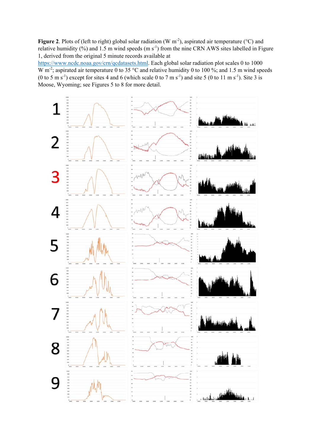Figure 2. Plots of (left to right) global solar radiation (W m<sup>-2</sup>), aspirated air temperature (°C) and relative humidity (%) and 1.5 m wind speeds (m s<sup>-1</sup>) from the nine CRN AWS sites labelled in Figure 1, derived from the original 5 minute records available at

https://www.ncdc.noaa.gov/crn/qcdatasets.html. Each global solar radiation plot scales 0 to 1000 W m<sup>-2</sup>; aspirated air temperature 0 to 35 °C and relative humidity 0 to 100 %; and 1.5 m wind speeds (0 to 5 m s<sup>-1</sup>) except for sites 4 and 6 (which scale 0 to 7 m s<sup>-1</sup>) and site 5 (0 to 11 m s<sup>-1</sup>). Site 3 is Moose, Wyoming; see Figures 5 to 8 for more detail.

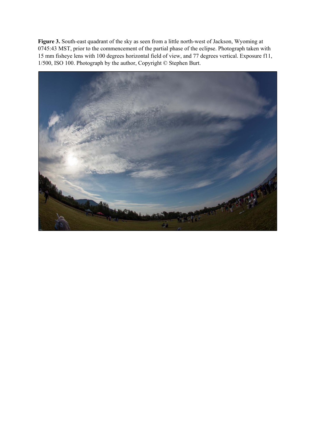**Figure 3.** South-east quadrant of the sky as seen from a little north-west of Jackson, Wyoming at 0745:43 MST, prior to the commencement of the partial phase of the eclipse. Photograph taken with 15 mm fisheye lens with 100 degrees horizontal field of view, and 77 degrees vertical. Exposure f11, 1/500, ISO 100. Photograph by the author, Copyright © Stephen Burt.

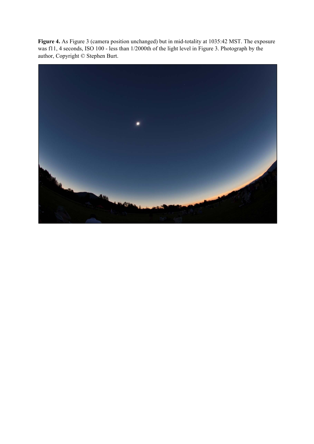**Figure 4.** As Figure 3 (camera position unchanged) but in mid-totality at 1035:42 MST. The exposure was f11, 4 seconds, ISO 100 - less than 1/2000th of the light level in Figure 3. Photograph by the author, Copyright © Stephen Burt.

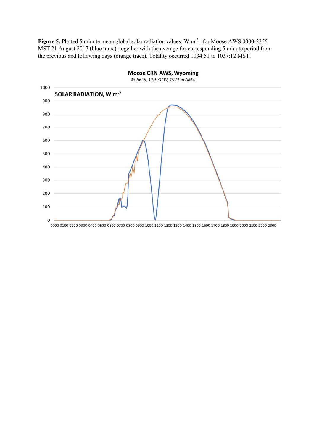Figure 5. Plotted 5 minute mean global solar radiation values, W m<sup>-2</sup>, for Moose AWS 0000-2355 MST 21 August 2017 (blue trace), together with the average for corresponding 5 minute period from the previous and following days (orange trace). Totality occurred 1034:51 to 1037:12 MST.

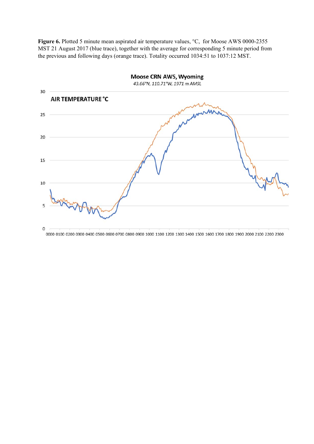Figure 6. Plotted 5 minute mean aspirated air temperature values, °C, for Moose AWS 0000-2355 MST 21 August 2017 (blue trace), together with the average for corresponding 5 minute period from the previous and following days (orange trace). Totality occurred 1034:51 to 1037:12 MST.

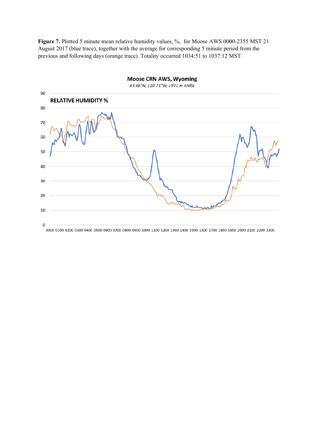Figure 7. Plotted 5 minute mean relative humidity values, %, for Moose AWS 0000-2355 MST 21 August 2017 (blue trace), together with the average for corresponding 5 minute period from the previous and following days (orange trace). Totality occurred 1034:51 to 1037:12 MST.